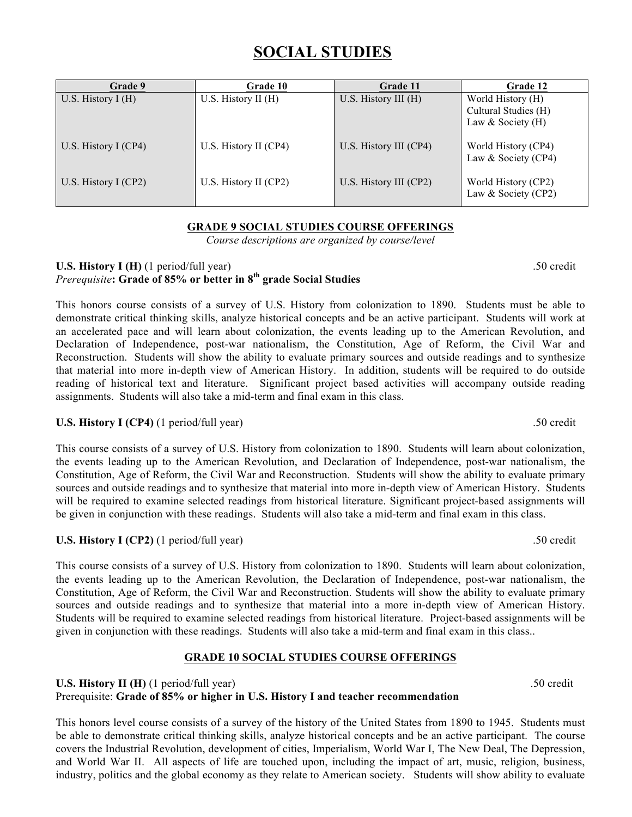# **SOCIAL STUDIES**

| Grade 9                | <b>Grade 10</b>       | Grade 11               | Grade 12                                                         |
|------------------------|-----------------------|------------------------|------------------------------------------------------------------|
| U.S. History $I(H)$    | U.S. History II $(H)$ | U.S. History III (H)   | World History (H)<br>Cultural Studies (H)<br>Law & Society $(H)$ |
| U.S. History I $(CP4)$ | U.S. History II (CP4) | U.S. History III (CP4) | World History (CP4)<br>Law & Society (CP4)                       |
| U.S. History I $(CP2)$ | U.S. History II (CP2) | U.S. History III (CP2) | World History (CP2)<br>Law & Society (CP2)                       |

# **GRADE 9 SOCIAL STUDIES COURSE OFFERINGS**

*Course descriptions are organized by course/level*

#### **U.S. History I (H)** (1 period/full year) .50 credit *Prerequisite***: Grade of 85% or better in 8th grade Social Studies**

This honors course consists of a survey of U.S. History from colonization to 1890. Students must be able to demonstrate critical thinking skills, analyze historical concepts and be an active participant. Students will work at an accelerated pace and will learn about colonization, the events leading up to the American Revolution, and Declaration of Independence, post-war nationalism, the Constitution, Age of Reform, the Civil War and Reconstruction. Students will show the ability to evaluate primary sources and outside readings and to synthesize that material into more in-depth view of American History. In addition, students will be required to do outside reading of historical text and literature. Significant project based activities will accompany outside reading assignments. Students will also take a mid-term and final exam in this class.

# **U.S. History I (CP4)** (1 period/full year) .50 credit

This course consists of a survey of U.S. History from colonization to 1890. Students will learn about colonization, the events leading up to the American Revolution, and Declaration of Independence, post-war nationalism, the Constitution, Age of Reform, the Civil War and Reconstruction. Students will show the ability to evaluate primary sources and outside readings and to synthesize that material into more in-depth view of American History. Students will be required to examine selected readings from historical literature. Significant project-based assignments will be given in conjunction with these readings. Students will also take a mid-term and final exam in this class.

# **U.S. History I (CP2)** (1 period/full year) .50 credit

This course consists of a survey of U.S. History from colonization to 1890. Students will learn about colonization, the events leading up to the American Revolution, the Declaration of Independence, post-war nationalism, the Constitution, Age of Reform, the Civil War and Reconstruction. Students will show the ability to evaluate primary sources and outside readings and to synthesize that material into a more in-depth view of American History. Students will be required to examine selected readings from historical literature. Project-based assignments will be given in conjunction with these readings. Students will also take a mid-term and final exam in this class..

## **GRADE 10 SOCIAL STUDIES COURSE OFFERINGS**

### **U.S. History II (H)** (1 period/full year) .50 credit Prerequisite: **Grade of 85% or higher in U.S. History I and teacher recommendation**

This honors level course consists of a survey of the history of the United States from 1890 to 1945. Students must be able to demonstrate critical thinking skills, analyze historical concepts and be an active participant. The course covers the Industrial Revolution, development of cities, Imperialism, World War I, The New Deal, The Depression, and World War II. All aspects of life are touched upon, including the impact of art, music, religion, business, industry, politics and the global economy as they relate to American society. Students will show ability to evaluate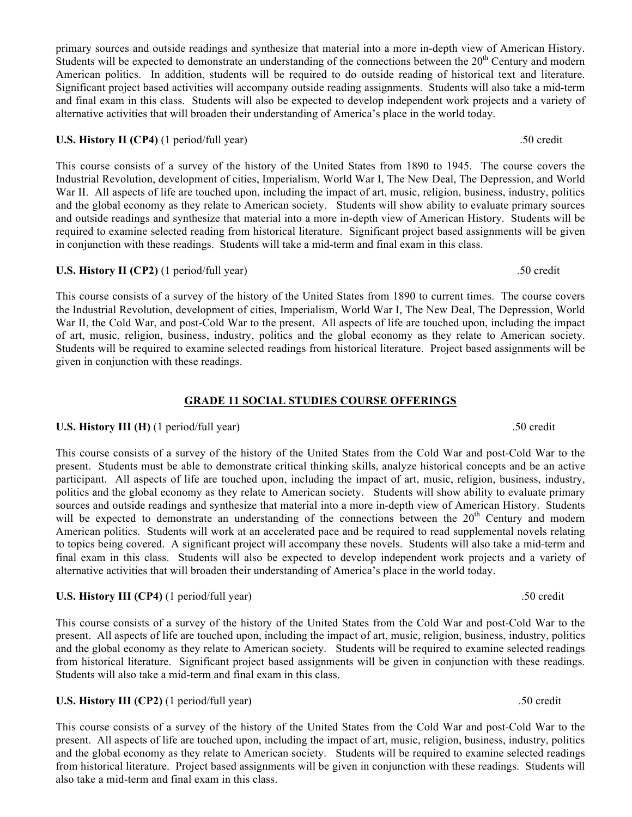Students will be expected to demonstrate an understanding of the connections between the  $20<sup>th</sup>$  Century and modern American politics. In addition, students will be required to do outside reading of historical text and literature. Significant project based activities will accompany outside reading assignments. Students will also take a mid-term and final exam in this class. Students will also be expected to develop independent work projects and a variety of alternative activities that will broaden their understanding of America's place in the world today.

#### **U.S. History II (CP4)** (1 period/full year) .50 credit

This course consists of a survey of the history of the United States from 1890 to 1945. The course covers the Industrial Revolution, development of cities, Imperialism, World War I, The New Deal, The Depression, and World War II. All aspects of life are touched upon, including the impact of art, music, religion, business, industry, politics and the global economy as they relate to American society. Students will show ability to evaluate primary sources and outside readings and synthesize that material into a more in-depth view of American History. Students will be required to examine selected reading from historical literature. Significant project based assignments will be given in conjunction with these readings. Students will take a mid-term and final exam in this class.

primary sources and outside readings and synthesize that material into a more in-depth view of American History.

#### **U.S. History II (CP2)** (1 period/full year) .50 credit

This course consists of a survey of the history of the United States from 1890 to current times. The course covers the Industrial Revolution, development of cities, Imperialism, World War I, The New Deal, The Depression, World War II, the Cold War, and post-Cold War to the present. All aspects of life are touched upon, including the impact of art, music, religion, business, industry, politics and the global economy as they relate to American society. Students will be required to examine selected readings from historical literature. Project based assignments will be given in conjunction with these readings.

#### **GRADE 11 SOCIAL STUDIES COURSE OFFERINGS**

### **U.S. History III (H)** (1 period/full year) .50 credit

This course consists of a survey of the history of the United States from the Cold War and post-Cold War to the present. Students must be able to demonstrate critical thinking skills, analyze historical concepts and be an active participant. All aspects of life are touched upon, including the impact of art, music, religion, business, industry, politics and the global economy as they relate to American society. Students will show ability to evaluate primary sources and outside readings and synthesize that material into a more in-depth view of American History. Students will be expected to demonstrate an understanding of the connections between the 20<sup>th</sup> Century and modern American politics. Students will work at an accelerated pace and be required to read supplemental novels relating to topics being covered. A significant project will accompany these novels. Students will also take a mid-term and final exam in this class. Students will also be expected to develop independent work projects and a variety of alternative activities that will broaden their understanding of America's place in the world today.

#### **U.S. History III (CP4)** (1 period/full year) .50 credit

This course consists of a survey of the history of the United States from the Cold War and post-Cold War to the present. All aspects of life are touched upon, including the impact of art, music, religion, business, industry, politics and the global economy as they relate to American society. Students will be required to examine selected readings from historical literature. Significant project based assignments will be given in conjunction with these readings. Students will also take a mid-term and final exam in this class.

#### **U.S. History III (CP2)** (1 period/full year) .50 credit

This course consists of a survey of the history of the United States from the Cold War and post-Cold War to the present. All aspects of life are touched upon, including the impact of art, music, religion, business, industry, politics and the global economy as they relate to American society. Students will be required to examine selected readings from historical literature. Project based assignments will be given in conjunction with these readings. Students will also take a mid-term and final exam in this class.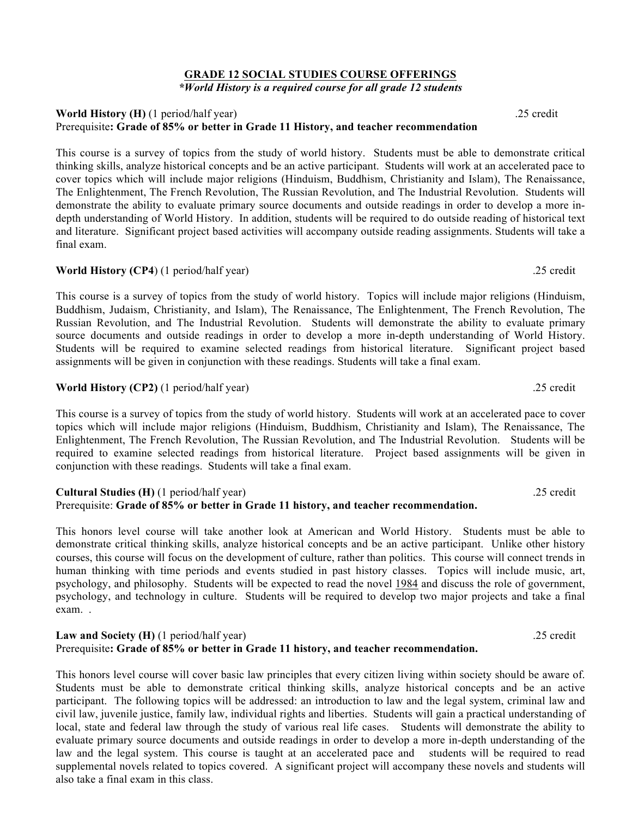#### **GRADE 12 SOCIAL STUDIES COURSE OFFERINGS** *\*World History is a required course for all grade 12 students*

#### **World History (H)** (1 period/half year) .25 credit Prerequisite**: Grade of 85% or better in Grade 11 History, and teacher recommendation**

This course is a survey of topics from the study of world history. Students must be able to demonstrate critical thinking skills, analyze historical concepts and be an active participant. Students will work at an accelerated pace to cover topics which will include major religions (Hinduism, Buddhism, Christianity and Islam), The Renaissance, The Enlightenment, The French Revolution, The Russian Revolution, and The Industrial Revolution. Students will demonstrate the ability to evaluate primary source documents and outside readings in order to develop a more indepth understanding of World History. In addition, students will be required to do outside reading of historical text and literature. Significant project based activities will accompany outside reading assignments. Students will take a final exam.

#### **World History (CP4)** (1 period/half year) .25 credit

This course is a survey of topics from the study of world history. Topics will include major religions (Hinduism, Buddhism, Judaism, Christianity, and Islam), The Renaissance, The Enlightenment, The French Revolution, The Russian Revolution, and The Industrial Revolution. Students will demonstrate the ability to evaluate primary source documents and outside readings in order to develop a more in-depth understanding of World History. Students will be required to examine selected readings from historical literature. Significant project based assignments will be given in conjunction with these readings. Students will take a final exam.

#### **World History (CP2)** (1 period/half year) .25 credit

This course is a survey of topics from the study of world history. Students will work at an accelerated pace to cover topics which will include major religions (Hinduism, Buddhism, Christianity and Islam), The Renaissance, The Enlightenment, The French Revolution, The Russian Revolution, and The Industrial Revolution. Students will be required to examine selected readings from historical literature. Project based assignments will be given in conjunction with these readings. Students will take a final exam.

#### **Cultural Studies (H)** (1 period/half year) .25 credit Prerequisite: **Grade of 85% or better in Grade 11 history, and teacher recommendation.**

This honors level course will take another look at American and World History. Students must be able to demonstrate critical thinking skills, analyze historical concepts and be an active participant. Unlike other history courses, this course will focus on the development of culture, rather than politics. This course will connect trends in human thinking with time periods and events studied in past history classes. Topics will include music, art, psychology, and philosophy. Students will be expected to read the novel 1984 and discuss the role of government, psychology, and technology in culture. Students will be required to develop two major projects and take a final exam. .

#### **Law and Society (H)** (1 period/half year) .25 credit Prerequisite**: Grade of 85% or better in Grade 11 history, and teacher recommendation.**

This honors level course will cover basic law principles that every citizen living within society should be aware of. Students must be able to demonstrate critical thinking skills, analyze historical concepts and be an active participant. The following topics will be addressed: an introduction to law and the legal system, criminal law and civil law, juvenile justice, family law, individual rights and liberties. Students will gain a practical understanding of local, state and federal law through the study of various real life cases. Students will demonstrate the ability to evaluate primary source documents and outside readings in order to develop a more in-depth understanding of the law and the legal system. This course is taught at an accelerated pace and students will be required to read supplemental novels related to topics covered. A significant project will accompany these novels and students will also take a final exam in this class.